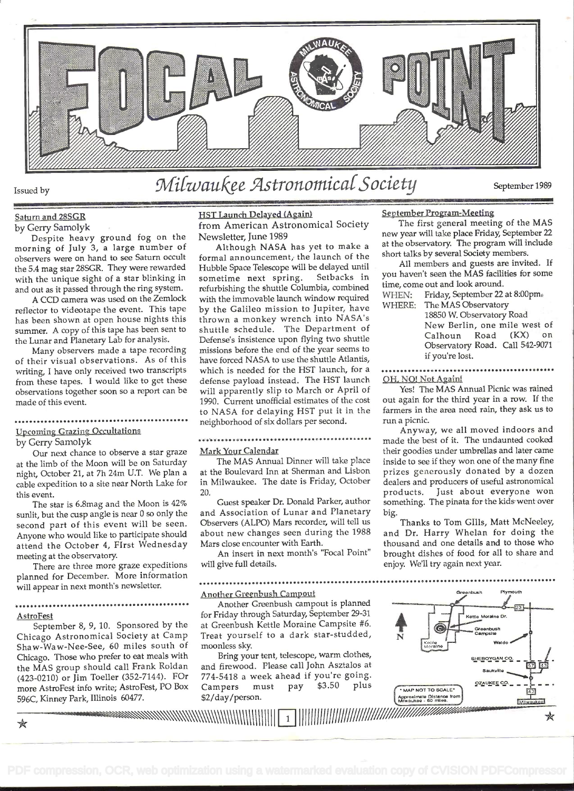

### Saturn and 28SGR by Gerry Samolyk

Despite heavy ground fog on the morning of July 3, a large number of observers were on hand to see Saturn occult the 5.4 mag star 28SGR. They were rewarded with the unique sight of a star blinking in and out as it passed through the ring system.

A CCD camera was used on the Zerniock reflector to videotape the event. This tape has been shown at open house nights this summer. A copy of this tape has been sent to the Lunar and Planetary Lab for analysis.

Many observers made a tape recording of their visual observations. As of this writing, I have only received two transcripts from these tapes. I would like to get these observations together soon so a report can be made of this event.

#### .............. .. .......................... Upcoming Grazing Occultations

by Gerry Samolyk

Our next chance to observe a star graze at the limb of the Moon will be on Saturday night, October 21, at 7h 24m U.T. We plan a cable expedition to a site near North Lake for this event.

The star is 6.8mag and the Moon is 42% sunlit, but the cusp angle is near O so only the second part of this event will be seen. Anyone who would like to participate should attend the October 4, FIrst Wednesday meeting at the observatory

There are three more graze expeditions planned for December. More information will appear in next month's newsletter.

# **AstroFest**

September 8, 9, 10. Sponsored by the Chicago Astronomical Society at Camp Shaw-Waw-Nee-See, 60 miles south of Chicago. Those who prefer to eat meals with the MAS group should call Frank Roldan (423-0210) or Jim Toeller (352-7144). FOr more AstroFest info write; AstroFest, PO Box 596C, Kinney Park, Illinois 60477.

HST Launch Delayed (Again)

from American Astronomical Society Newsletter, June 1989

Although NASA has yet to make a formal announcement, the launch of the Hubble Space Telescope will be delayed until sometime next spring. Setbacks in refurbishing the shuttle Columbia, combined  $\frac{\text{time}}{\text{WHEN}}$ . with the immovable launch window required by the Galileo mission to Jupiter, have thrown a monkey wrench into NASA's shuttle schedule. The Department of Defense's insistence upon flying two shuttle missions before the end of the year seems to have forced NASA to use the shuttle Atlantis, which is needed for the HST launch, for a defense payload instead. The HST launch will apparently slip to March or April of 1990. Current unofficial estimates of the cost to NASA for delaying HST put it in the neighborhood of six dollars per second.

## . . . . . . . . . . . . . . . . . . . .

Mark Your Calendar

The MAS Annual Dinner will take piace at the Boulevard Inn at Sherman and Lisbon in Milwaukee. The date is Friday, October dealers and<br>20. products. 20.

Guest speaker Dr. Donald Parker, author and Association of Lunar and Planetary Observers (ALPO) Mars recorder, will tell us about new changes seen during the 1988 Mars close encounter with Earth.

An insert in next month's "Focal Point" will give full details.

Another Greenbush Campout

Another Greenbush campout is planned for Friday through Saturday, September 29-31 at Greenbush Kettle Moraine Campsite #6. Treat yourself to a dark star-studded, moonless sky.

Bring your tent, telescope, warm clothes, and firewood. Please call John Asztalos at 774-5418 a week ahead if you're going. Campers must pay \$3.50 plus \$2/day/person.

# September Program-Meeting

The first general meeting of the MAS new year will take place Friday, September22 at the observatory. The program will include short talks by several Society members.

All members and guests are invited. If you haven't seen the MAS facilities for some time, come out and look around.

Friday, September 22 at 8:00pm. WHERE: The MAS Observatory

| 18850 W. Observatory Road       |
|---------------------------------|
| New Berlin, one mile west of    |
| Calhoun Road (KX)<br>on         |
| Observatory Road. Call 542-9071 |
| if you're lost.                 |

# OH. NO! Not Again!

Yes! The MAS Annual Picnic was rained out again for the third year in a row. If the farmers in the area need rain, they ask us to run a picnic.

Anyway, we all moved indoors and made the best of it. The undaunted cooked their goodies under umbrellas and later came inside to see if they won one of the many fine prizes generously donated by a dozen dealers and producers of useful astronomical Just about everyone won something. The pinata for the kids went over big.

Thanks to Tom GIlls, Matt McNeeley, and Dr. Harry Whelan for doing the thousand and one details and to those who brought dishes of food for all to share and enjoy. We'll try again next year.

. ...........................................